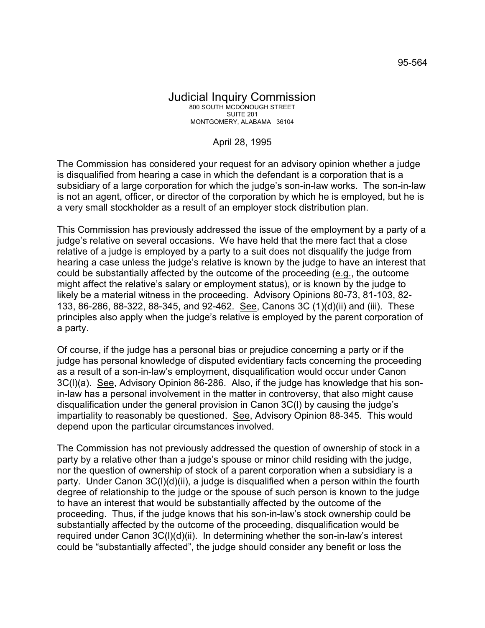## Judicial Inquiry Commission 800 SOUTH MCDONOUGH STREET SUITE 201 MONTGOMERY, ALABAMA 36104

## April 28, 1995

The Commission has considered your request for an advisory opinion whether a judge is disqualified from hearing a case in which the defendant is a corporation that is a subsidiary of a large corporation for which the judge's son-in-law works. The son-in-law is not an agent, officer, or director of the corporation by which he is employed, but he is a very small stockholder as a result of an employer stock distribution plan.

This Commission has previously addressed the issue of the employment by a party of a judge's relative on several occasions. We have held that the mere fact that a close relative of a judge is employed by a party to a suit does not disqualify the judge from hearing a case unless the judge's relative is known by the judge to have an interest that could be substantially affected by the outcome of the proceeding (e.g., the outcome might affect the relative's salary or employment status), or is known by the judge to likely be a material witness in the proceeding. Advisory Opinions 80-73, 81-103, 82- 133, 86-286, 88-322, 88-345, and 92-462. See, Canons 3C (1)(d)(ii) and (iii). These principles also apply when the judge's relative is employed by the parent corporation of a party.

Of course, if the judge has a personal bias or prejudice concerning a party or if the judge has personal knowledge of disputed evidentiary facts concerning the proceeding as a result of a son-in-law's employment, disqualification would occur under Canon 3C(l)(a). See, Advisory Opinion 86-286. Also, if the judge has knowledge that his sonin-law has a personal involvement in the matter in controversy, that also might cause disqualification under the general provision in Canon 3C(l) by causing the judge's impartiality to reasonably be questioned. See, Advisory Opinion 88-345. This would depend upon the particular circumstances involved.

The Commission has not previously addressed the question of ownership of stock in a party by a relative other than a judge's spouse or minor child residing with the judge, nor the question of ownership of stock of a parent corporation when a subsidiary is a party. Under Canon 3C(l)(d)(ii), a judge is disqualified when a person within the fourth degree of relationship to the judge or the spouse of such person is known to the judge to have an interest that would be substantially affected by the outcome of the proceeding. Thus, if the judge knows that his son-in-law's stock ownership could be substantially affected by the outcome of the proceeding, disqualification would be required under Canon 3C(l)(d)(ii). In determining whether the son-in-law's interest could be "substantially affected", the judge should consider any benefit or loss the